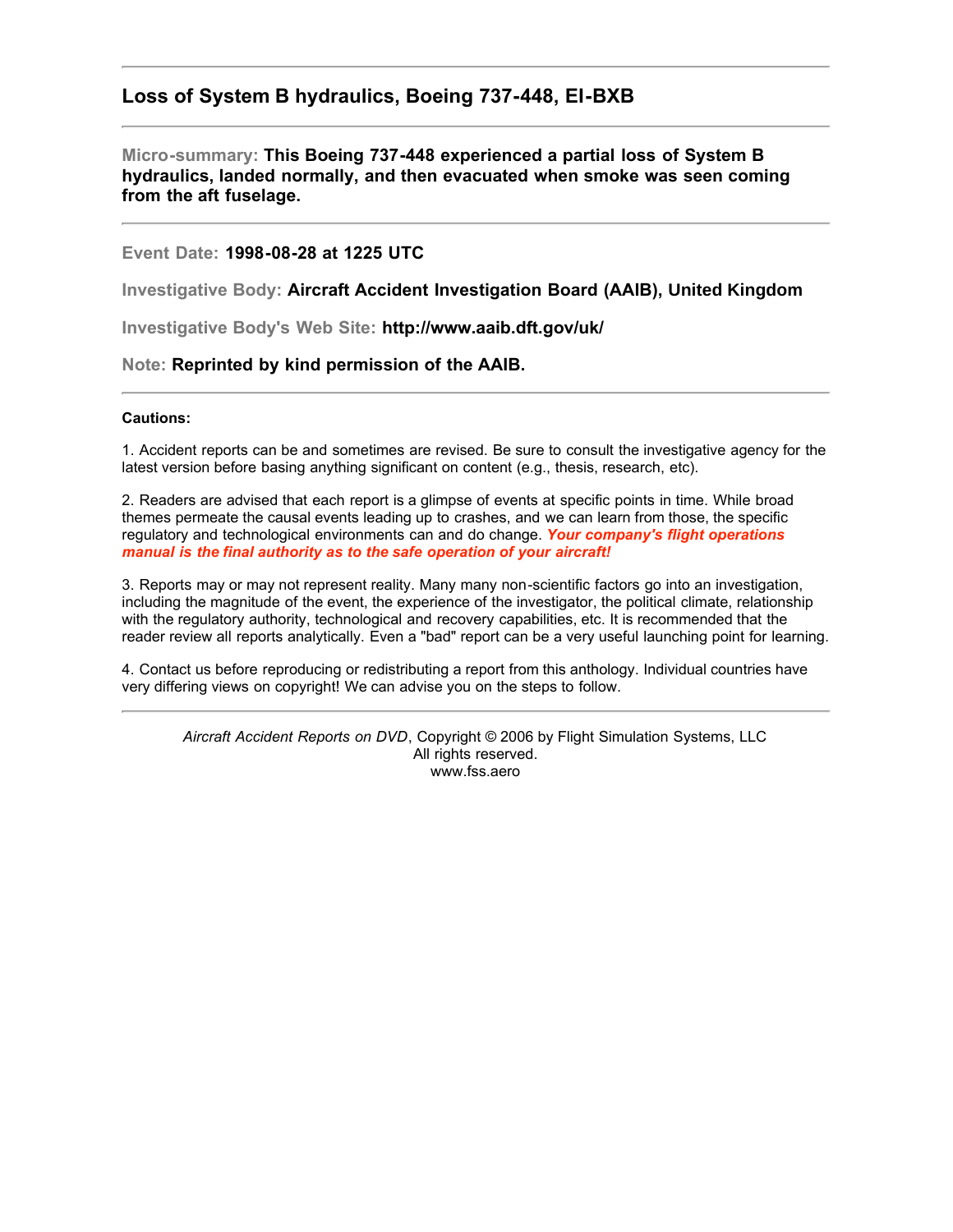# **Loss of System B hydraulics, Boeing 737-448, EI-BXB**

## **Micro-summary: This Boeing 737-448 experienced a partial loss of System B hydraulics, landed normally, and then evacuated when smoke was seen coming from the aft fuselage.**

### **Event Date: 1998-08-28 at 1225 UTC**

**Investigative Body: Aircraft Accident Investigation Board (AAIB), United Kingdom**

**Investigative Body's Web Site: http://www.aaib.dft.gov/uk/**

#### **Note: Reprinted by kind permission of the AAIB.**

#### **Cautions:**

1. Accident reports can be and sometimes are revised. Be sure to consult the investigative agency for the latest version before basing anything significant on content (e.g., thesis, research, etc).

2. Readers are advised that each report is a glimpse of events at specific points in time. While broad themes permeate the causal events leading up to crashes, and we can learn from those, the specific regulatory and technological environments can and do change. *Your company's flight operations manual is the final authority as to the safe operation of your aircraft!*

3. Reports may or may not represent reality. Many many non-scientific factors go into an investigation, including the magnitude of the event, the experience of the investigator, the political climate, relationship with the regulatory authority, technological and recovery capabilities, etc. It is recommended that the reader review all reports analytically. Even a "bad" report can be a very useful launching point for learning.

4. Contact us before reproducing or redistributing a report from this anthology. Individual countries have very differing views on copyright! We can advise you on the steps to follow.

*Aircraft Accident Reports on DVD*, Copyright © 2006 by Flight Simulation Systems, LLC All rights reserved. www.fss.aero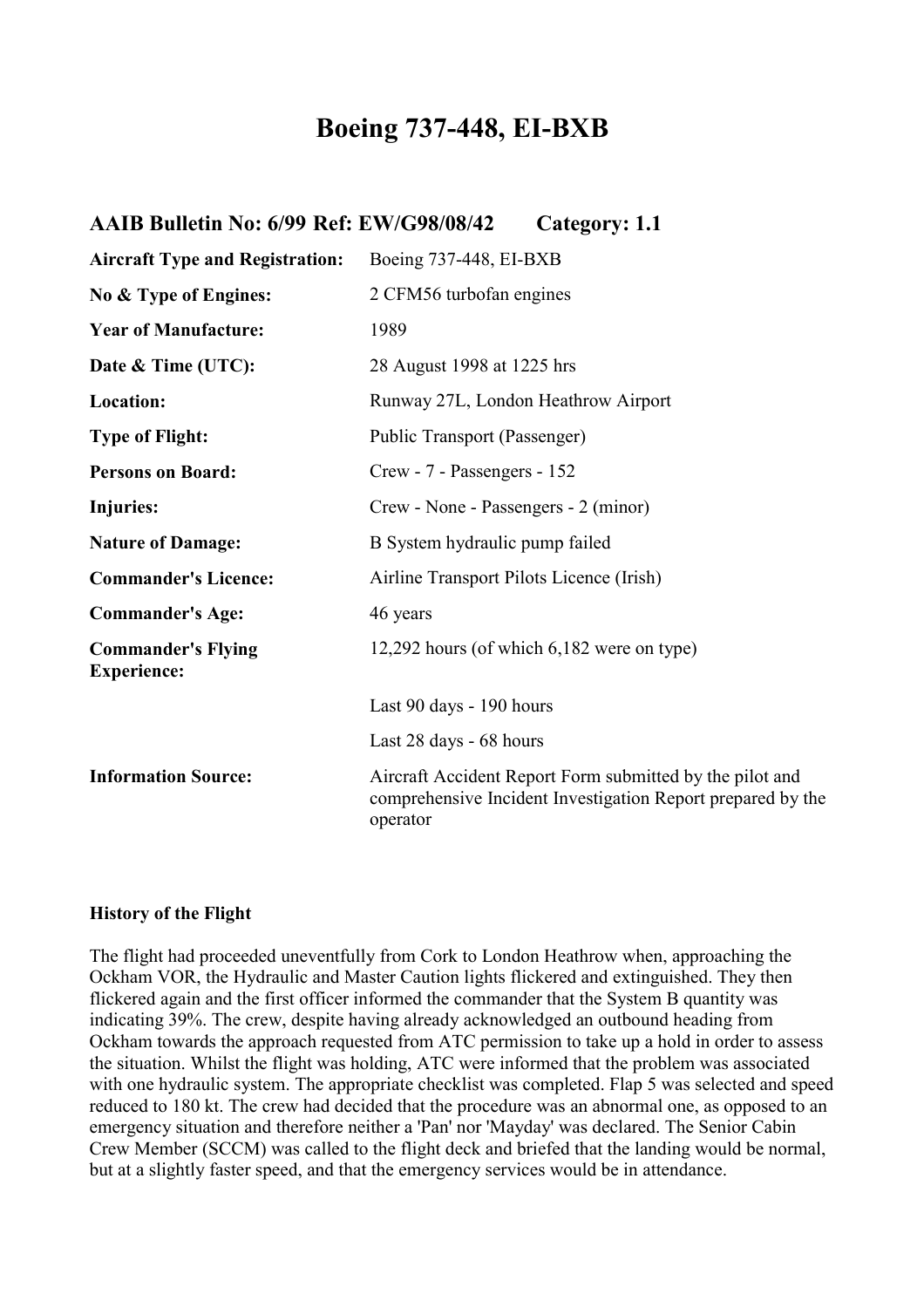# **Boeing 737-448, EI-BXB**

| AAIB Bulletin No: 6/99 Ref: EW/G98/08/42 | Category: 1.1 |
|------------------------------------------|---------------|
|------------------------------------------|---------------|

| <b>Aircraft Type and Registration:</b>          | Boeing 737-448, EI-BXB                                                                                                              |
|-------------------------------------------------|-------------------------------------------------------------------------------------------------------------------------------------|
| No & Type of Engines:                           | 2 CFM56 turbofan engines                                                                                                            |
| <b>Year of Manufacture:</b>                     | 1989                                                                                                                                |
| Date & Time (UTC):                              | 28 August 1998 at 1225 hrs                                                                                                          |
| Location:                                       | Runway 27L, London Heathrow Airport                                                                                                 |
| <b>Type of Flight:</b>                          | Public Transport (Passenger)                                                                                                        |
| <b>Persons on Board:</b>                        | Crew - 7 - Passengers - 152                                                                                                         |
| Injuries:                                       | Crew - None - Passengers - 2 (minor)                                                                                                |
| <b>Nature of Damage:</b>                        | B System hydraulic pump failed                                                                                                      |
| <b>Commander's Licence:</b>                     | Airline Transport Pilots Licence (Irish)                                                                                            |
| <b>Commander's Age:</b>                         | 46 years                                                                                                                            |
| <b>Commander's Flying</b><br><b>Experience:</b> | 12,292 hours (of which 6,182 were on type)                                                                                          |
|                                                 | Last 90 days - 190 hours                                                                                                            |
|                                                 | Last 28 days - 68 hours                                                                                                             |
| <b>Information Source:</b>                      | Aircraft Accident Report Form submitted by the pilot and<br>comprehensive Incident Investigation Report prepared by the<br>operator |

## **History of the Flight**

The flight had proceeded uneventfully from Cork to London Heathrow when, approaching the Ockham VOR, the Hydraulic and Master Caution lights flickered and extinguished. They then flickered again and the first officer informed the commander that the System B quantity was indicating 39%. The crew, despite having already acknowledged an outbound heading from Ockham towards the approach requested from ATC permission to take up a hold in order to assess the situation. Whilst the flight was holding, ATC were informed that the problem was associated with one hydraulic system. The appropriate checklist was completed. Flap 5 was selected and speed reduced to 180 kt. The crew had decided that the procedure was an abnormal one, as opposed to an emergency situation and therefore neither a 'Pan' nor 'Mayday' was declared. The Senior Cabin Crew Member (SCCM) was called to the flight deck and briefed that the landing would be normal, but at a slightly faster speed, and that the emergency services would be in attendance.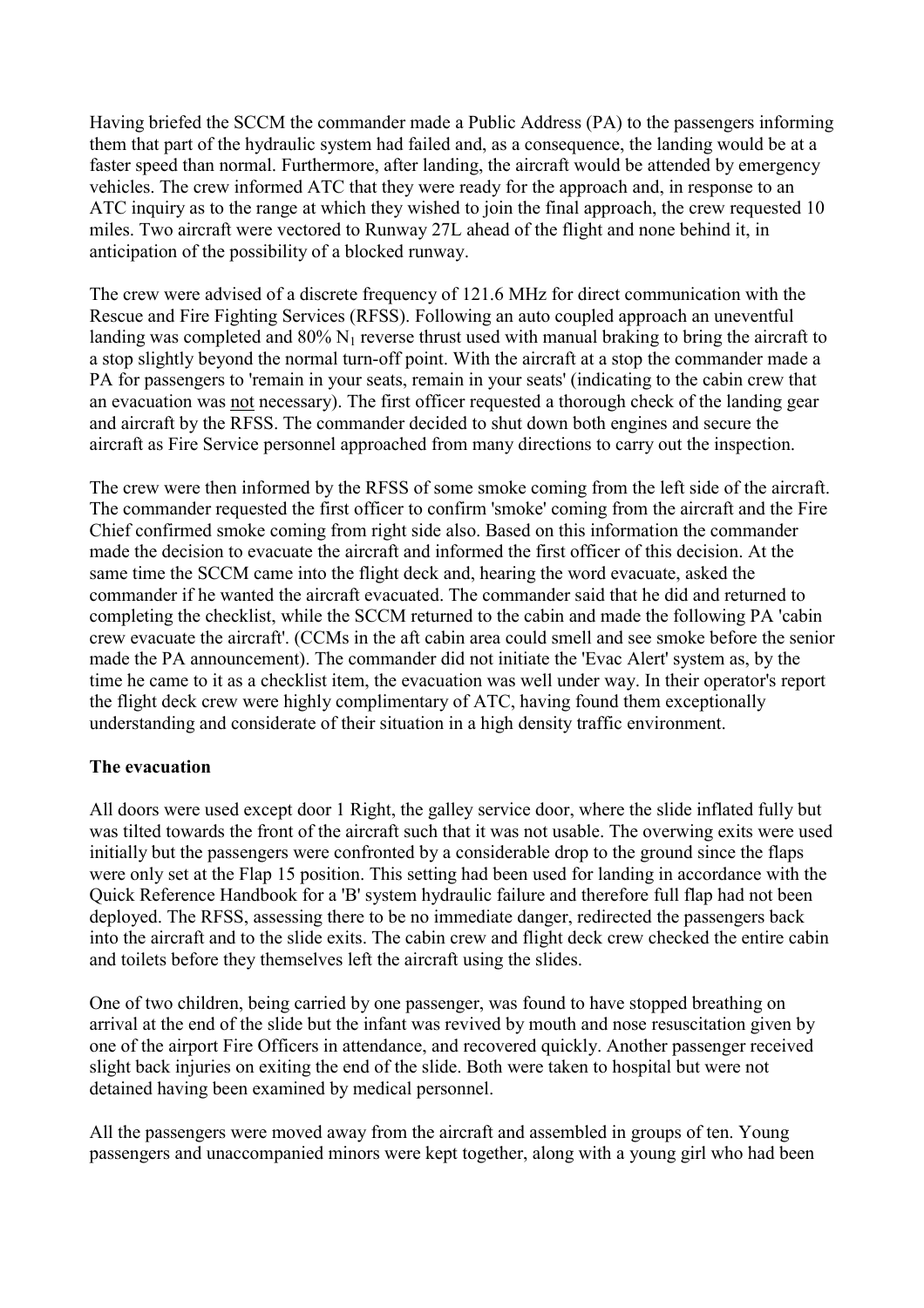Having briefed the SCCM the commander made a Public Address (PA) to the passengers informing them that part of the hydraulic system had failed and, as a consequence, the landing would be at a faster speed than normal. Furthermore, after landing, the aircraft would be attended by emergency vehicles. The crew informed ATC that they were ready for the approach and, in response to an ATC inquiry as to the range at which they wished to join the final approach, the crew requested 10 miles. Two aircraft were vectored to Runway 27L ahead of the flight and none behind it, in anticipation of the possibility of a blocked runway.

The crew were advised of a discrete frequency of 121.6 MHz for direct communication with the Rescue and Fire Fighting Services (RFSS). Following an auto coupled approach an uneventful landing was completed and  $80\%$  N<sub>1</sub> reverse thrust used with manual braking to bring the aircraft to a stop slightly beyond the normal turn-off point. With the aircraft at a stop the commander made a PA for passengers to 'remain in your seats, remain in your seats' (indicating to the cabin crew that an evacuation was not necessary). The first officer requested a thorough check of the landing gear and aircraft by the RFSS. The commander decided to shut down both engines and secure the aircraft as Fire Service personnel approached from many directions to carry out the inspection.

The crew were then informed by the RFSS of some smoke coming from the left side of the aircraft. The commander requested the first officer to confirm 'smoke' coming from the aircraft and the Fire Chief confirmed smoke coming from right side also. Based on this information the commander made the decision to evacuate the aircraft and informed the first officer of this decision. At the same time the SCCM came into the flight deck and, hearing the word evacuate, asked the commander if he wanted the aircraft evacuated. The commander said that he did and returned to completing the checklist, while the SCCM returned to the cabin and made the following PA 'cabin crew evacuate the aircraft'. (CCMs in the aft cabin area could smell and see smoke before the senior made the PA announcement). The commander did not initiate the 'Evac Alert' system as, by the time he came to it as a checklist item, the evacuation was well under way. In their operator's report the flight deck crew were highly complimentary of ATC, having found them exceptionally understanding and considerate of their situation in a high density traffic environment.

## **The evacuation**

All doors were used except door 1 Right, the galley service door, where the slide inflated fully but was tilted towards the front of the aircraft such that it was not usable. The overwing exits were used initially but the passengers were confronted by a considerable drop to the ground since the flaps were only set at the Flap 15 position. This setting had been used for landing in accordance with the Quick Reference Handbook for a 'B' system hydraulic failure and therefore full flap had not been deployed. The RFSS, assessing there to be no immediate danger, redirected the passengers back into the aircraft and to the slide exits. The cabin crew and flight deck crew checked the entire cabin and toilets before they themselves left the aircraft using the slides.

One of two children, being carried by one passenger, was found to have stopped breathing on arrival at the end of the slide but the infant was revived by mouth and nose resuscitation given by one of the airport Fire Officers in attendance, and recovered quickly. Another passenger received slight back injuries on exiting the end of the slide. Both were taken to hospital but were not detained having been examined by medical personnel.

All the passengers were moved away from the aircraft and assembled in groups of ten. Young passengers and unaccompanied minors were kept together, along with a young girl who had been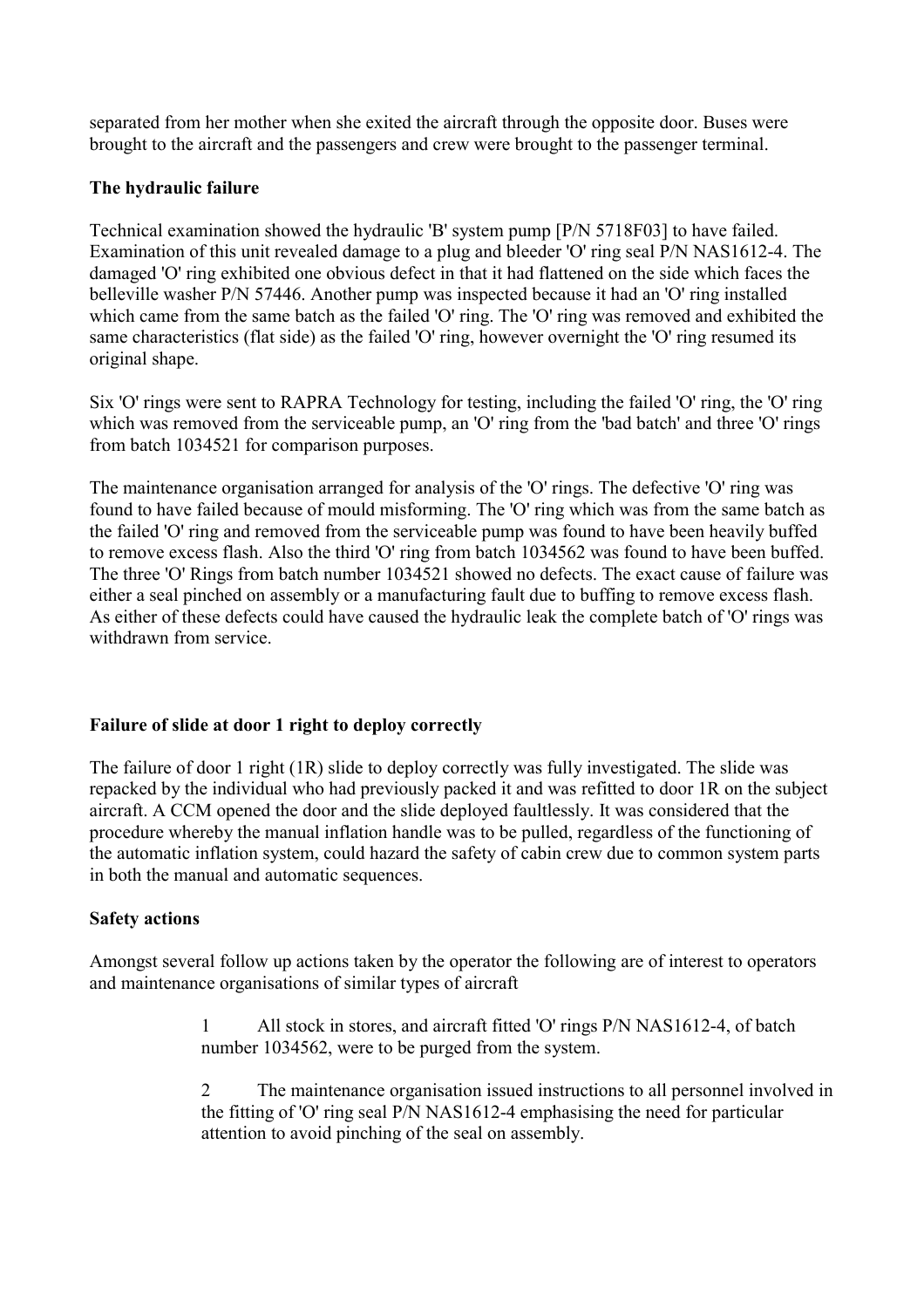separated from her mother when she exited the aircraft through the opposite door. Buses were brought to the aircraft and the passengers and crew were brought to the passenger terminal.

## **The hydraulic failure**

Technical examination showed the hydraulic 'B' system pump [P/N 5718F03] to have failed. Examination of this unit revealed damage to a plug and bleeder 'O' ring seal P/N NAS1612-4. The damaged 'O' ring exhibited one obvious defect in that it had flattened on the side which faces the belleville washer P/N 57446. Another pump was inspected because it had an 'O' ring installed which came from the same batch as the failed 'O' ring. The 'O' ring was removed and exhibited the same characteristics (flat side) as the failed 'O' ring, however overnight the 'O' ring resumed its original shape.

Six 'O' rings were sent to RAPRA Technology for testing, including the failed 'O' ring, the 'O' ring which was removed from the serviceable pump, an 'O' ring from the 'bad batch' and three 'O' rings from batch 1034521 for comparison purposes.

The maintenance organisation arranged for analysis of the 'O' rings. The defective 'O' ring was found to have failed because of mould misforming. The 'O' ring which was from the same batch as the failed 'O' ring and removed from the serviceable pump was found to have been heavily buffed to remove excess flash. Also the third 'O' ring from batch 1034562 was found to have been buffed. The three 'O' Rings from batch number 1034521 showed no defects. The exact cause of failure was either a seal pinched on assembly or a manufacturing fault due to buffing to remove excess flash. As either of these defects could have caused the hydraulic leak the complete batch of 'O' rings was withdrawn from service.

## **Failure of slide at door 1 right to deploy correctly**

The failure of door 1 right (1R) slide to deploy correctly was fully investigated. The slide was repacked by the individual who had previously packed it and was refitted to door 1R on the subject aircraft. A CCM opened the door and the slide deployed faultlessly. It was considered that the procedure whereby the manual inflation handle was to be pulled, regardless of the functioning of the automatic inflation system, could hazard the safety of cabin crew due to common system parts in both the manual and automatic sequences.

# **Safety actions**

Amongst several follow up actions taken by the operator the following are of interest to operators and maintenance organisations of similar types of aircraft

> 1 All stock in stores, and aircraft fitted 'O' rings P/N NAS1612-4, of batch number 1034562, were to be purged from the system.

2 The maintenance organisation issued instructions to all personnel involved in the fitting of 'O' ring seal P/N NAS1612-4 emphasising the need for particular attention to avoid pinching of the seal on assembly.